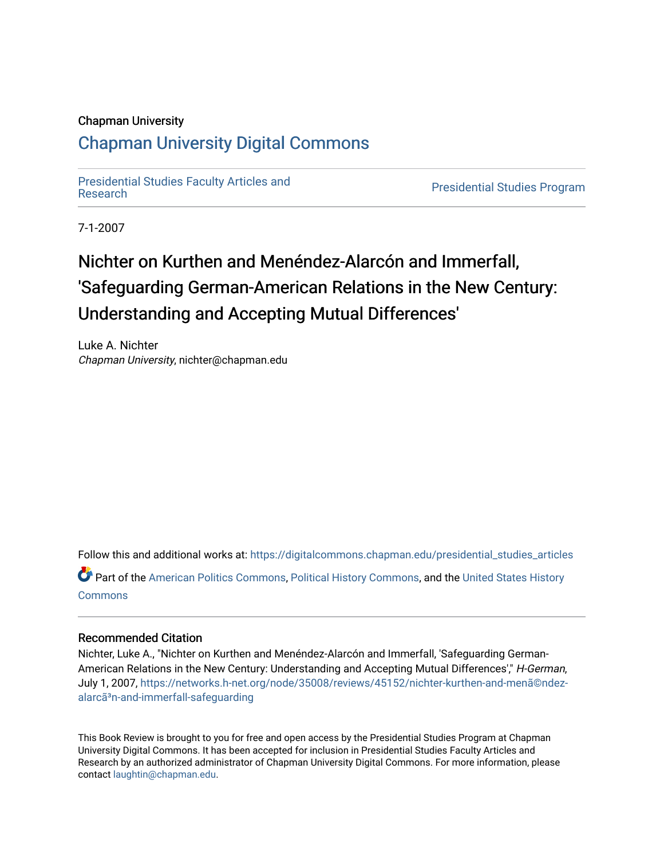## Chapman University

## [Chapman University Digital Commons](https://digitalcommons.chapman.edu/)

[Presidential Studies Faculty Articles and](https://digitalcommons.chapman.edu/presidential_studies_articles) 

**Presidential Studies Program** 

7-1-2007

# Nichter on Kurthen and Menéndez-Alarcón and Immerfall, 'Safeguarding German-American Relations in the New Century: Understanding and Accepting Mutual Differences'

Luke A. Nichter Chapman University, nichter@chapman.edu

Follow this and additional works at: [https://digitalcommons.chapman.edu/presidential\\_studies\\_articles](https://digitalcommons.chapman.edu/presidential_studies_articles?utm_source=digitalcommons.chapman.edu%2Fpresidential_studies_articles%2F20&utm_medium=PDF&utm_campaign=PDFCoverPages) 

Part of the [American Politics Commons,](http://network.bepress.com/hgg/discipline/387?utm_source=digitalcommons.chapman.edu%2Fpresidential_studies_articles%2F20&utm_medium=PDF&utm_campaign=PDFCoverPages) [Political History Commons,](http://network.bepress.com/hgg/discipline/505?utm_source=digitalcommons.chapman.edu%2Fpresidential_studies_articles%2F20&utm_medium=PDF&utm_campaign=PDFCoverPages) and the [United States History](http://network.bepress.com/hgg/discipline/495?utm_source=digitalcommons.chapman.edu%2Fpresidential_studies_articles%2F20&utm_medium=PDF&utm_campaign=PDFCoverPages) **[Commons](http://network.bepress.com/hgg/discipline/495?utm_source=digitalcommons.chapman.edu%2Fpresidential_studies_articles%2F20&utm_medium=PDF&utm_campaign=PDFCoverPages)** 

### Recommended Citation

Nichter, Luke A., "Nichter on Kurthen and Menéndez-Alarcón and Immerfall, 'Safeguarding German-American Relations in the New Century: Understanding and Accepting Mutual Differences'," H-German, July 1, 2007, [https://networks.h-net.org/node/35008/reviews/45152/nichter-kurthen-and-menã©ndez](https://networks.h-net.org/node/35008/reviews/45152/nichter-kurthen-and-men%C3%A3%C2%A9ndez-alarc%C3%A3%C2%B3n-and-immerfall-safeguarding)alarcã<sup>3</sup>n-and-immerfall-safeguarding

This Book Review is brought to you for free and open access by the Presidential Studies Program at Chapman University Digital Commons. It has been accepted for inclusion in Presidential Studies Faculty Articles and Research by an authorized administrator of Chapman University Digital Commons. For more information, please contact [laughtin@chapman.edu](mailto:laughtin@chapman.edu).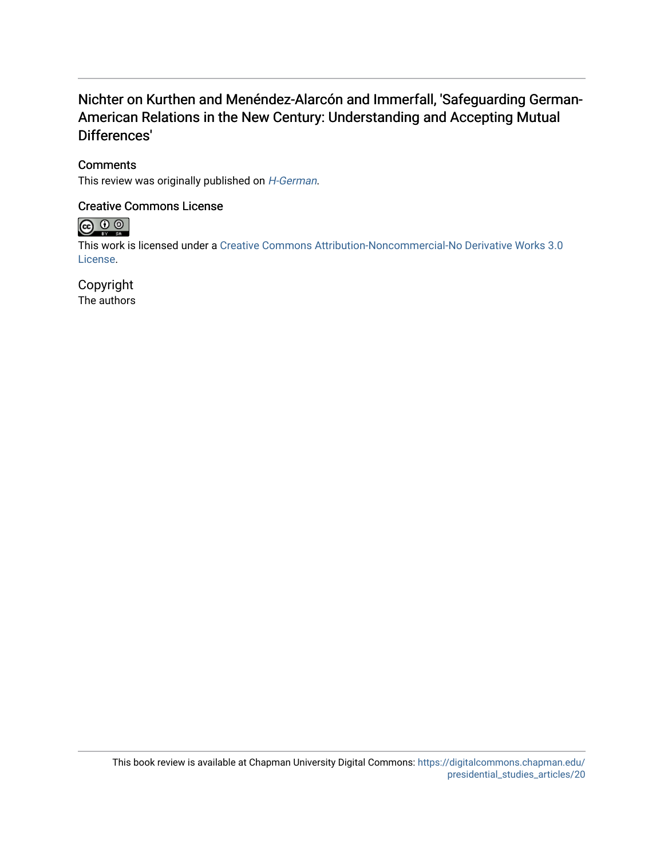## Nichter on Kurthen and Menéndez-Alarcón and Immerfall, 'Safeguarding German-American Relations in the New Century: Understanding and Accepting Mutual Differences'

## **Comments**

This review was originally published on *[H-German](https://networks.h-net.org/node/35008/reviews/45152/nichter-kurthen-and-men%C3%A3%C2%A9ndez-alarc%C3%A3%C2%B3n-and-immerfall-safeguarding)*.

## Creative Commons License



This work is licensed under a [Creative Commons Attribution-Noncommercial-No Derivative Works 3.0](https://creativecommons.org/licenses/by-nc-nd/3.0/) [License](https://creativecommons.org/licenses/by-nc-nd/3.0/).

## Copyright

The authors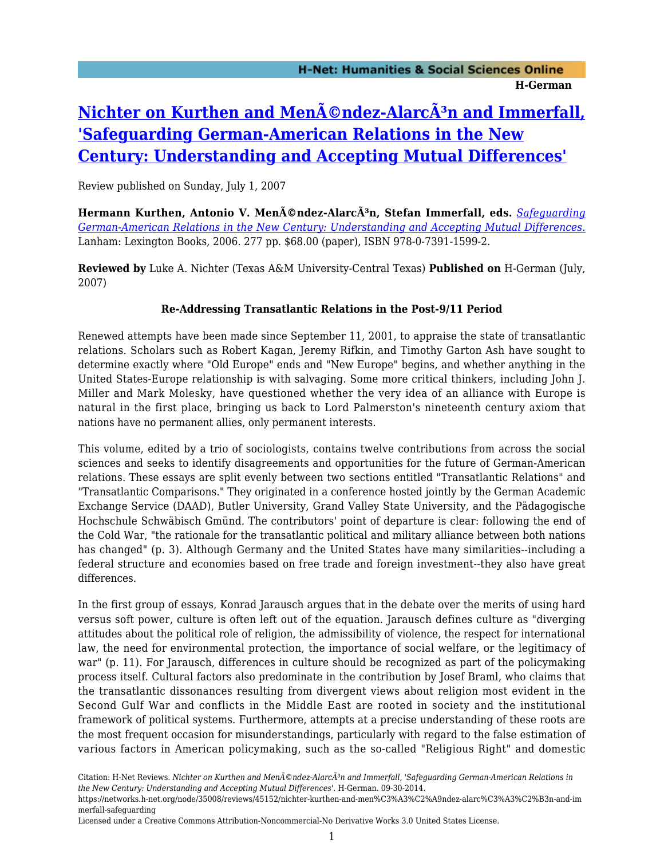# **Nichter on Kurthen and Menéndez-AlarcÃ3n and Immerfall, ['Safeguarding German-American Relations in the New](https://networks.h-net.org/node/35008/reviews/45152/nichter-kurthen-and-men%C3%A3%C2%A9ndez-alarc%C3%A3%C2%B3n-and-immerfall-safeguarding) [Century: Understanding and Accepting Mutual Differences'](https://networks.h-net.org/node/35008/reviews/45152/nichter-kurthen-and-men%C3%A3%C2%A9ndez-alarc%C3%A3%C2%B3n-and-immerfall-safeguarding)**

Review published on Sunday, July 1, 2007

Hermann Kurthen, Antonio V. Menéndez-AlarcÃ<sup>3</sup>n, Stefan Immerfall, eds. *[Safeguarding](http://www.amazon.com/exec/obidos/ASIN/0739115995) [German-American Relations in the New Century: Understanding and Accepting Mutual Differences.](http://www.amazon.com/exec/obidos/ASIN/0739115995)* Lanham: Lexington Books, 2006. 277 pp. \$68.00 (paper), ISBN 978-0-7391-1599-2.

**Reviewed by** Luke A. Nichter (Texas A&M University-Central Texas) **Published on** H-German (July, 2007)

## **Re-Addressing Transatlantic Relations in the Post-9/11 Period**

Renewed attempts have been made since September 11, 2001, to appraise the state of transatlantic relations. Scholars such as Robert Kagan, Jeremy Rifkin, and Timothy Garton Ash have sought to determine exactly where "Old Europe" ends and "New Europe" begins, and whether anything in the United States-Europe relationship is with salvaging. Some more critical thinkers, including John J. Miller and Mark Molesky, have questioned whether the very idea of an alliance with Europe is natural in the first place, bringing us back to Lord Palmerston's nineteenth century axiom that nations have no permanent allies, only permanent interests.

This volume, edited by a trio of sociologists, contains twelve contributions from across the social sciences and seeks to identify disagreements and opportunities for the future of German-American relations. These essays are split evenly between two sections entitled "Transatlantic Relations" and "Transatlantic Comparisons." They originated in a conference hosted jointly by the German Academic Exchange Service (DAAD), Butler University, Grand Valley State University, and the Pädagogische Hochschule Schwäbisch Gmünd. The contributors' point of departure is clear: following the end of the Cold War, "the rationale for the transatlantic political and military alliance between both nations has changed" (p. 3). Although Germany and the United States have many similarities--including a federal structure and economies based on free trade and foreign investment--they also have great differences.

In the first group of essays, Konrad Jarausch argues that in the debate over the merits of using hard versus soft power, culture is often left out of the equation. Jarausch defines culture as "diverging attitudes about the political role of religion, the admissibility of violence, the respect for international law, the need for environmental protection, the importance of social welfare, or the legitimacy of war" (p. 11). For Jarausch, differences in culture should be recognized as part of the policymaking process itself. Cultural factors also predominate in the contribution by Josef Braml, who claims that the transatlantic dissonances resulting from divergent views about religion most evident in the Second Gulf War and conflicts in the Middle East are rooted in society and the institutional framework of political systems. Furthermore, attempts at a precise understanding of these roots are the most frequent occasion for misunderstandings, particularly with regard to the false estimation of various factors in American policymaking, such as the so-called "Religious Right" and domestic

Citation: H-Net Reviews. *Nichter on Kurthen and Men*©ndez-AlarcÂ<sup>3</sup>n and Immerfall, 'Safeguarding German-American Relations in *the New Century: Understanding and Accepting Mutual Differences'*. H-German. 09-30-2014.

https://networks.h-net.org/node/35008/reviews/45152/nichter-kurthen-and-men%C3%A3%C2%A9ndez-alarc%C3%A3%C2%B3n-and-im merfall-safeguarding

Licensed under a Creative Commons Attribution-Noncommercial-No Derivative Works 3.0 United States License.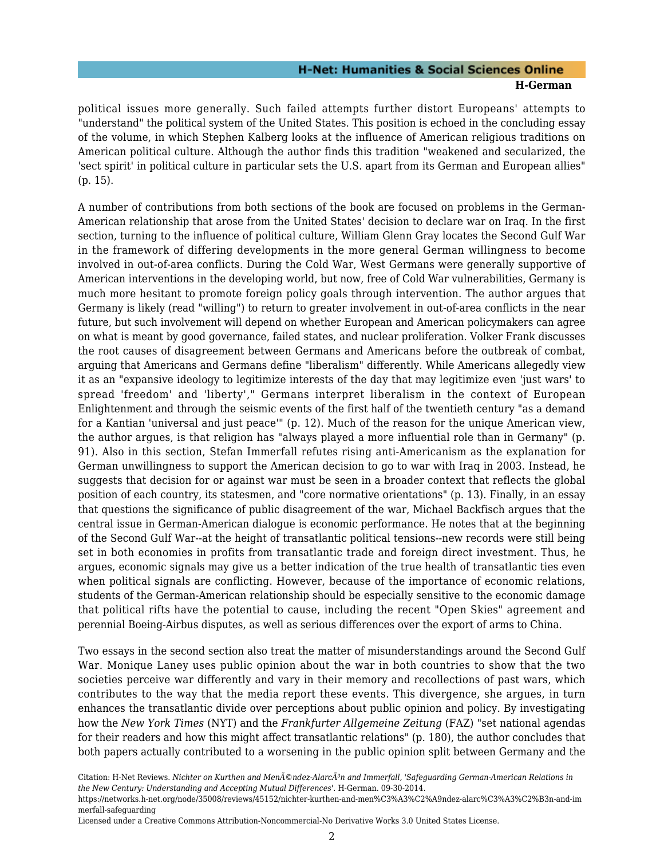## **H-Net: Humanities & Social Sciences Online H-German**

political issues more generally. Such failed attempts further distort Europeans' attempts to "understand" the political system of the United States. This position is echoed in the concluding essay of the volume, in which Stephen Kalberg looks at the influence of American religious traditions on American political culture. Although the author finds this tradition "weakened and secularized, the 'sect spirit' in political culture in particular sets the U.S. apart from its German and European allies" (p. 15).

A number of contributions from both sections of the book are focused on problems in the German-American relationship that arose from the United States' decision to declare war on Iraq. In the first section, turning to the influence of political culture, William Glenn Gray locates the Second Gulf War in the framework of differing developments in the more general German willingness to become involved in out-of-area conflicts. During the Cold War, West Germans were generally supportive of American interventions in the developing world, but now, free of Cold War vulnerabilities, Germany is much more hesitant to promote foreign policy goals through intervention. The author argues that Germany is likely (read "willing") to return to greater involvement in out-of-area conflicts in the near future, but such involvement will depend on whether European and American policymakers can agree on what is meant by good governance, failed states, and nuclear proliferation. Volker Frank discusses the root causes of disagreement between Germans and Americans before the outbreak of combat, arguing that Americans and Germans define "liberalism" differently. While Americans allegedly view it as an "expansive ideology to legitimize interests of the day that may legitimize even 'just wars' to spread 'freedom' and 'liberty'," Germans interpret liberalism in the context of European Enlightenment and through the seismic events of the first half of the twentieth century "as a demand for a Kantian 'universal and just peace'" (p. 12). Much of the reason for the unique American view, the author argues, is that religion has "always played a more influential role than in Germany" (p. 91). Also in this section, Stefan Immerfall refutes rising anti-Americanism as the explanation for German unwillingness to support the American decision to go to war with Iraq in 2003. Instead, he suggests that decision for or against war must be seen in a broader context that reflects the global position of each country, its statesmen, and "core normative orientations" (p. 13). Finally, in an essay that questions the significance of public disagreement of the war, Michael Backfisch argues that the central issue in German-American dialogue is economic performance. He notes that at the beginning of the Second Gulf War--at the height of transatlantic political tensions--new records were still being set in both economies in profits from transatlantic trade and foreign direct investment. Thus, he argues, economic signals may give us a better indication of the true health of transatlantic ties even when political signals are conflicting. However, because of the importance of economic relations, students of the German-American relationship should be especially sensitive to the economic damage that political rifts have the potential to cause, including the recent "Open Skies" agreement and perennial Boeing-Airbus disputes, as well as serious differences over the export of arms to China.

Two essays in the second section also treat the matter of misunderstandings around the Second Gulf War. Monique Laney uses public opinion about the war in both countries to show that the two societies perceive war differently and vary in their memory and recollections of past wars, which contributes to the way that the media report these events. This divergence, she argues, in turn enhances the transatlantic divide over perceptions about public opinion and policy. By investigating how the *New York Times* (NYT) and the *Frankfurter Allgemeine Zeitung* (FAZ) "set national agendas for their readers and how this might affect transatlantic relations" (p. 180), the author concludes that both papers actually contributed to a worsening in the public opinion split between Germany and the

Citation: H-Net Reviews. *Nichter on Kurthen and Men*©ndez-AlarcÂ<sup>3</sup>n and Immerfall, 'Safeguarding German-American Relations in *the New Century: Understanding and Accepting Mutual Differences'*. H-German. 09-30-2014.

https://networks.h-net.org/node/35008/reviews/45152/nichter-kurthen-and-men%C3%A3%C2%A9ndez-alarc%C3%A3%C2%B3n-and-im merfall-safeguarding

Licensed under a Creative Commons Attribution-Noncommercial-No Derivative Works 3.0 United States License.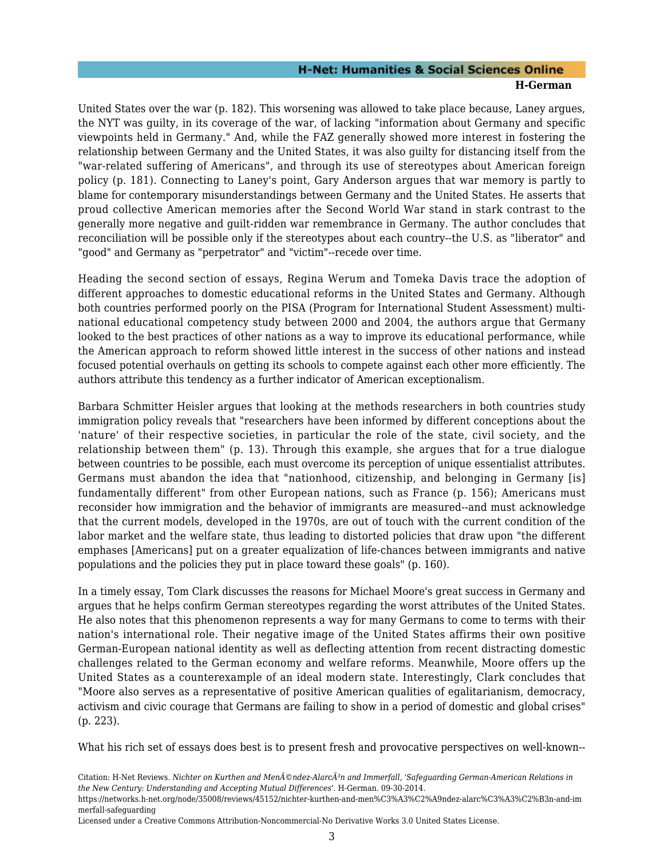### **H-Net: Humanities & Social Sciences Online H-German**

United States over the war (p. 182). This worsening was allowed to take place because, Laney argues, the NYT was guilty, in its coverage of the war, of lacking "information about Germany and specific viewpoints held in Germany." And, while the FAZ generally showed more interest in fostering the relationship between Germany and the United States, it was also guilty for distancing itself from the "war-related suffering of Americans", and through its use of stereotypes about American foreign policy (p. 181). Connecting to Laney's point, Gary Anderson argues that war memory is partly to blame for contemporary misunderstandings between Germany and the United States. He asserts that proud collective American memories after the Second World War stand in stark contrast to the generally more negative and guilt-ridden war remembrance in Germany. The author concludes that reconciliation will be possible only if the stereotypes about each country--the U.S. as "liberator" and "good" and Germany as "perpetrator" and "victim"--recede over time.

Heading the second section of essays, Regina Werum and Tomeka Davis trace the adoption of different approaches to domestic educational reforms in the United States and Germany. Although both countries performed poorly on the PISA (Program for International Student Assessment) multinational educational competency study between 2000 and 2004, the authors argue that Germany looked to the best practices of other nations as a way to improve its educational performance, while the American approach to reform showed little interest in the success of other nations and instead focused potential overhauls on getting its schools to compete against each other more efficiently. The authors attribute this tendency as a further indicator of American exceptionalism.

Barbara Schmitter Heisler argues that looking at the methods researchers in both countries study immigration policy reveals that "researchers have been informed by different conceptions about the 'nature' of their respective societies, in particular the role of the state, civil society, and the relationship between them" (p. 13). Through this example, she argues that for a true dialogue between countries to be possible, each must overcome its perception of unique essentialist attributes. Germans must abandon the idea that "nationhood, citizenship, and belonging in Germany [is] fundamentally different" from other European nations, such as France (p. 156); Americans must reconsider how immigration and the behavior of immigrants are measured--and must acknowledge that the current models, developed in the 1970s, are out of touch with the current condition of the labor market and the welfare state, thus leading to distorted policies that draw upon "the different emphases [Americans] put on a greater equalization of life-chances between immigrants and native populations and the policies they put in place toward these goals" (p. 160).

In a timely essay, Tom Clark discusses the reasons for Michael Moore's great success in Germany and argues that he helps confirm German stereotypes regarding the worst attributes of the United States. He also notes that this phenomenon represents a way for many Germans to come to terms with their nation's international role. Their negative image of the United States affirms their own positive German-European national identity as well as deflecting attention from recent distracting domestic challenges related to the German economy and welfare reforms. Meanwhile, Moore offers up the United States as a counterexample of an ideal modern state. Interestingly, Clark concludes that "Moore also serves as a representative of positive American qualities of egalitarianism, democracy, activism and civic courage that Germans are failing to show in a period of domestic and global crises" (p. 223).

What his rich set of essays does best is to present fresh and provocative perspectives on well-known--

Licensed under a Creative Commons Attribution-Noncommercial-No Derivative Works 3.0 United States License.

Citation: H-Net Reviews. *Nichter on Kurthen and Men*©ndez-AlarcÂ<sup>3</sup>n and Immerfall, 'Safeguarding German-American Relations in *the New Century: Understanding and Accepting Mutual Differences'*. H-German. 09-30-2014.

https://networks.h-net.org/node/35008/reviews/45152/nichter-kurthen-and-men%C3%A3%C2%A9ndez-alarc%C3%A3%C2%B3n-and-im merfall-safeguarding